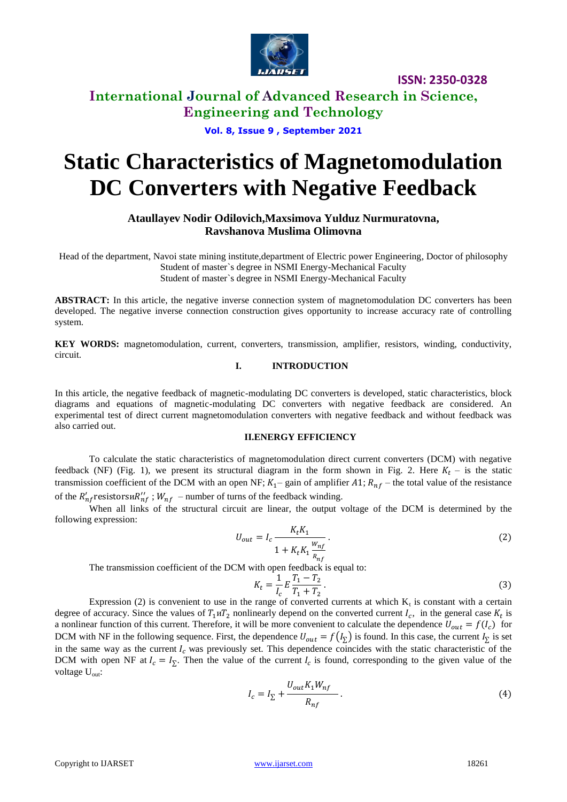

**ISSN: 2350-0328**

**International Journal of Advanced Research in Science, Engineering and Technology**

**Vol. 8, Issue 9 , September 2021**

# **Static Characteristics of Magnetomodulation DC Converters with Negative Feedback**

**Ataullayev Nodir Odilovich,Maxsimova Yulduz Nurmuratovna, Ravshanova Muslima Olimovna**

Head of the department, Navoi state mining institute,department of Electric power Engineering, Doctor of philosophy Student of master`s degree in NSMI Energy-Mechanical Faculty Student of master`s degree in NSMI Energy-Mechanical Faculty

ABSTRACT: In this article, the negative inverse connection system of magnetomodulation DC converters has been developed. The negative inverse connection construction gives opportunity to increase accuracy rate of controlling system.

**KEY WORDS:** magnetomodulation, current, converters, transmission, amplifier, resistors, winding, conductivity, circuit.

## **I. INTRODUCTION**

In this article, the negative feedback of magnetic-modulating DC converters is developed, static characteristics, block diagrams and equations of magnetic-modulating DC converters with negative feedback are considered. An experimental test of direct current magnetomodulation converters with negative feedback and without feedback was also carried out.

#### **II.ENERGY EFFICIENCY**

To calculate the static characteristics of magnetomodulation direct current converters (DCM) with negative feedback (NF) (Fig. 1), we present its structural diagram in the form shown in Fig. 2. Here  $K_t$  – is the static transmission coefficient of the DCM with an open NF;  $K_1$ – gain of amplifier A1;  $R_{nf}$  – the total value of the resistance of the  $R'_{n}$  resistorsu $R''_{n}$ ;  $W_{n}$  – number of turns of the feedback winding.

When all links of the structural circuit are linear, the output voltage of the DCM is determined by the following expression:  $\mathbf{r}$   $\mathbf{r}$ 

$$
U_{out} = I_c \frac{K_t K_1}{1 + K_t K_1 \frac{W_{nf}}{R_{nf}}}.
$$
 (2)

The transmission coefficient of the DCM with open feedback is equal to:

$$
K_t = \frac{1}{I_c} E \frac{T_1 - T_2}{T_1 + T_2} \,. \tag{3}
$$

Expression (2) is convenient to use in the range of converted currents at which  $K_t$  is constant with a certain degree of accuracy. Since the values of  $T_1 u T_2$  nonlinearly depend on the converted current  $I_c$ , in the general case  $K_t$  is a nonlinear function of this current. Therefore, it will be more convenient to calculate the dependence  $U_{out} = f(I_c)$  for DCM with NF in the following sequence. First, the dependence  $U_{out} = f(I_{\Sigma})$  is found. In this case, the current  $I_{\Sigma}$  is set in the same way as the current  $I_c$  was previously set. This dependence coincides with the static characteristic of the DCM with open NF at  $I_c = I_{\Sigma}$ . Then the value of the current  $I_c$  is found, corresponding to the given value of the voltage  $U_{\text{out}}$ :

$$
I_c = I_{\Sigma} + \frac{U_{out} K_1 W_{nf}}{R_{nf}}.
$$
\n(4)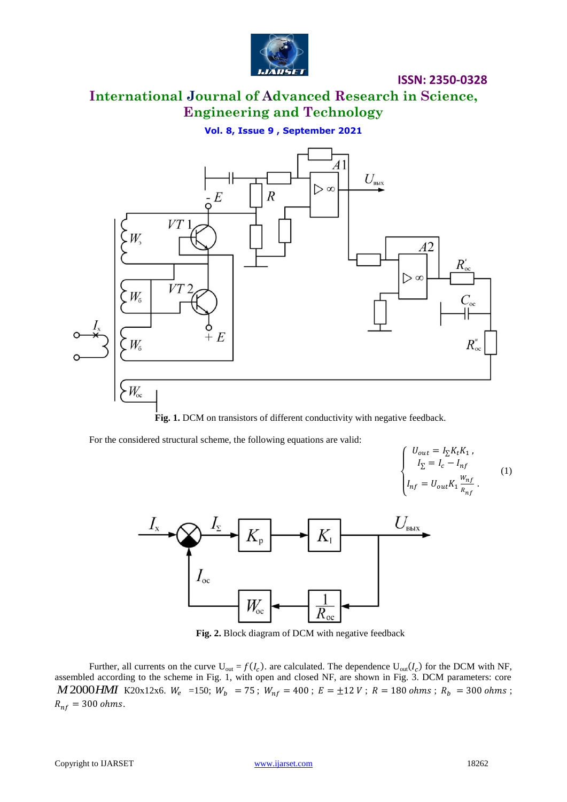

**ISSN: 2350-0328**

# **International Journal of Advanced Research in Science, Engineering and Technology**

**Vol. 8, Issue 9 , September 2021**



Fig. 1. DCM on transistors of different conductivity with negative feedback.

For the considered structural scheme, the following equations are valid:





Fig. 2. Block diagram of DCM with negative feedback

Further, all currents on the curve  $U_{out} = f(I_c)$ . are calculated. The dependence  $U_{out}(I_c)$  for the DCM with NF, assembled according to the scheme in Fig. 1, with open and closed NF, are shown in Fig. 3. DCM parameters: core *M* 2000*HMI* K20x12x6.  $W_e$  =150;  $W_b$  = 75;  $W_{nf}$  = 400;  $E = \pm 12 V$ ;  $R = 180$  ohms;  $R_b$  = 300 ohms;  $R_{nf} = 300 ohms.$